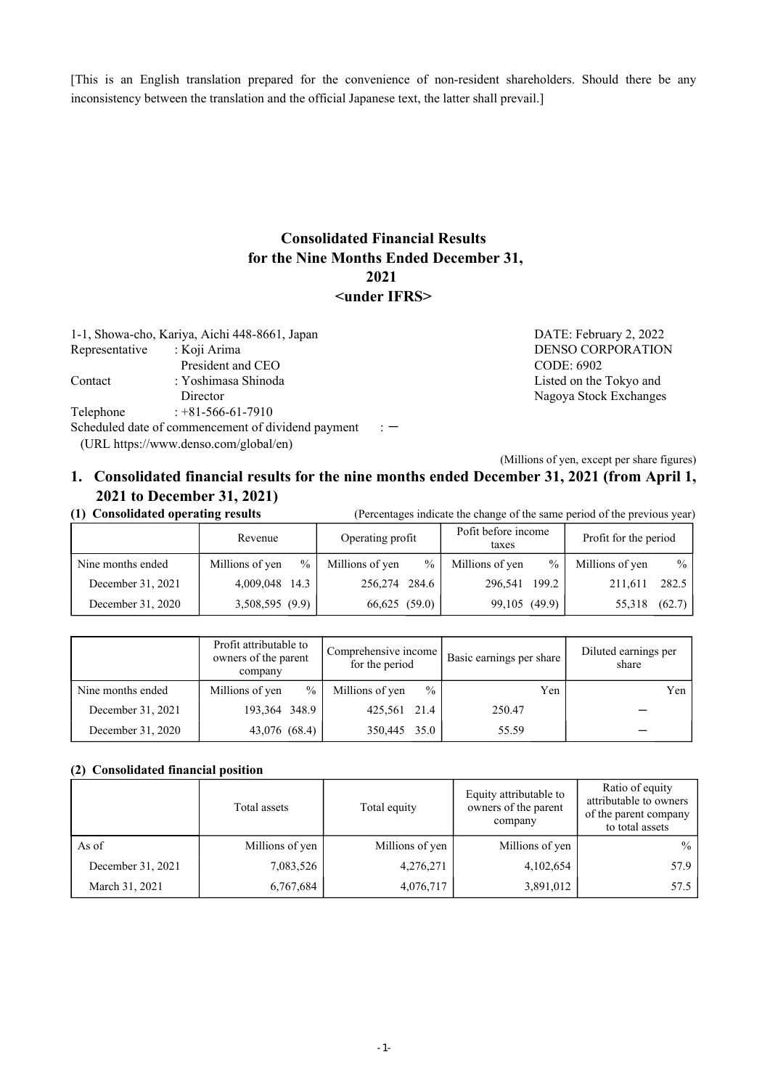[This is an English translation prepared for the convenience of non-resident shareholders. Should there be any inconsistency between the translation and the official Japanese text, the latter shall prevail.]

#### **Consolidated Financial Results for the Nine Months Ended December 31, 2021 <under IFRS>**

1-1, Showa-cho, Kariya, Aichi 448-8661, Japan DATE: February 2, 2022<br>Representative : Koji Arima DENSO CORPORATION Representative : Koji Arima DENSO CORPORATION President and CEO CODE: 6902 Contact : Yoshimasa Shinoda Listed on the Tokyo and Director Nagoya Stock Exchanges Telephone : +81-566-61-7910 Scheduled date of commencement of dividend payment  $\cdot$  :  $-$ (URL https://www.denso.com/global/en)

(Millions of yen, except per share figures)

#### **1. Consolidated financial results for the nine months ended December 31, 2021 (from April 1, 2021 to December 31, 2021)**

**(1) Consolidated operating results** (Percentages indicate the change of the same period of the previous year)

|                   | Revenue                 | Operating profit                 | Pofit before income<br>taxes | Profit for the period   |  |
|-------------------|-------------------------|----------------------------------|------------------------------|-------------------------|--|
| Nine months ended | $\%$<br>Millions of yen | $\frac{0}{0}$<br>Millions of yen | Millions of yen<br>$\%$      | Millions of yen<br>$\%$ |  |
| December 31, 2021 | 4,009,048 14.3          | 256,274 284.6                    | 296,541 199.2                | 282.5 l<br>211.611      |  |
| December 31, 2020 | 3,508,595(9.9)          | $66,625$ $(59.0)$                | 99,105 (49.9)                | (62.7)<br>55,318        |  |

|                   | Profit attributable to<br>owners of the parent<br>company | Comprehensive income<br>for the period | Basic earnings per share | Diluted earnings per<br>share |
|-------------------|-----------------------------------------------------------|----------------------------------------|--------------------------|-------------------------------|
| Nine months ended | $\frac{0}{0}$<br>Millions of yen                          | $\frac{0}{0}$<br>Millions of yen       | Yen                      | Yen                           |
| December 31, 2021 | 193,364 348.9                                             | 425,561 21.4                           | 250.47                   |                               |
| December 31, 2020 | 43,076 (68.4)                                             | 350,445 35.0                           | 55.59                    |                               |

#### **(2) Consolidated financial position**

|                   | Total assets    | Total equity    | Equity attributable to<br>owners of the parent<br>company | Ratio of equity<br>attributable to owners<br>of the parent company<br>to total assets |
|-------------------|-----------------|-----------------|-----------------------------------------------------------|---------------------------------------------------------------------------------------|
| As of             | Millions of yen | Millions of yen | Millions of yen                                           | $\%$                                                                                  |
| December 31, 2021 | 7,083,526       | 4,276,271       | 4,102,654                                                 | 57.9                                                                                  |
| March 31, 2021    | 6,767,684       | 4,076,717       | 3,891,012                                                 | 57.5                                                                                  |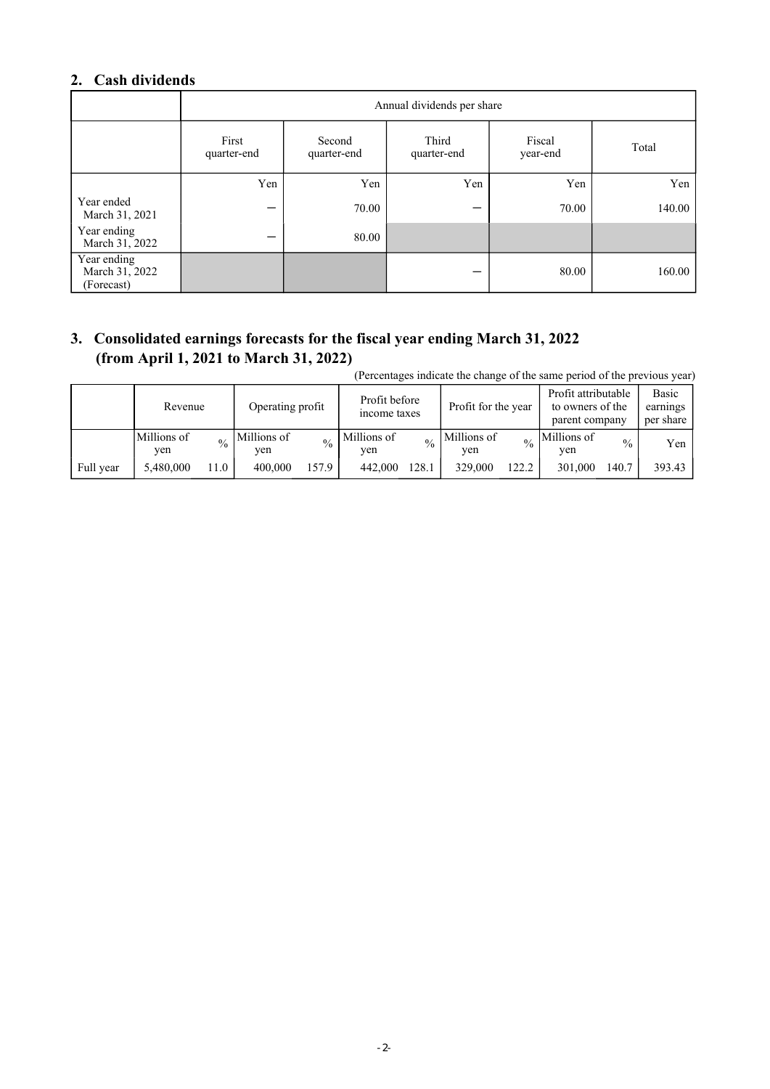### **2. Cash dividends**

|                                             | Annual dividends per share |                       |                      |                    |        |  |  |  |  |
|---------------------------------------------|----------------------------|-----------------------|----------------------|--------------------|--------|--|--|--|--|
|                                             | First<br>quarter-end       | Second<br>quarter-end | Third<br>quarter-end | Fiscal<br>year-end | Total  |  |  |  |  |
|                                             | Yen                        | Yen                   | Yen                  | Yen                | Yen    |  |  |  |  |
| Year ended<br>March 31, 2021                | –                          | 70.00                 |                      | 70.00              | 140.00 |  |  |  |  |
| Year ending<br>March 31, 2022               | –                          | 80.00                 |                      |                    |        |  |  |  |  |
| Year ending<br>March 31, 2022<br>(Forecast) |                            |                       |                      | 80.00              | 160.00 |  |  |  |  |

### **3. Consolidated earnings forecasts for the fiscal year ending March 31, 2022 (from April 1, 2021 to March 31, 2022)**

(Percentages indicate the change of the same period of the previous year)

|           | Revenue            |               | Operating profit   |       | Profit before<br>income taxes |       | Profit for the year |       | Profit attributable<br>to owners of the<br>parent company |               | Basic<br>earnings<br>per share |
|-----------|--------------------|---------------|--------------------|-------|-------------------------------|-------|---------------------|-------|-----------------------------------------------------------|---------------|--------------------------------|
|           | Millions of<br>yen | $\frac{0}{0}$ | Millions of<br>ven |       | Millions of<br>yen            | 0/2   | Millions of<br>yen  |       | Millions of<br>yen                                        | $\frac{0}{0}$ | Yen                            |
| Full year | 5.480,000          | 11.0          | 400,000            | 157.9 | 442,000                       | 128.1 | 329,000             | 122.2 | 301,000                                                   | 140.7         | 393.43                         |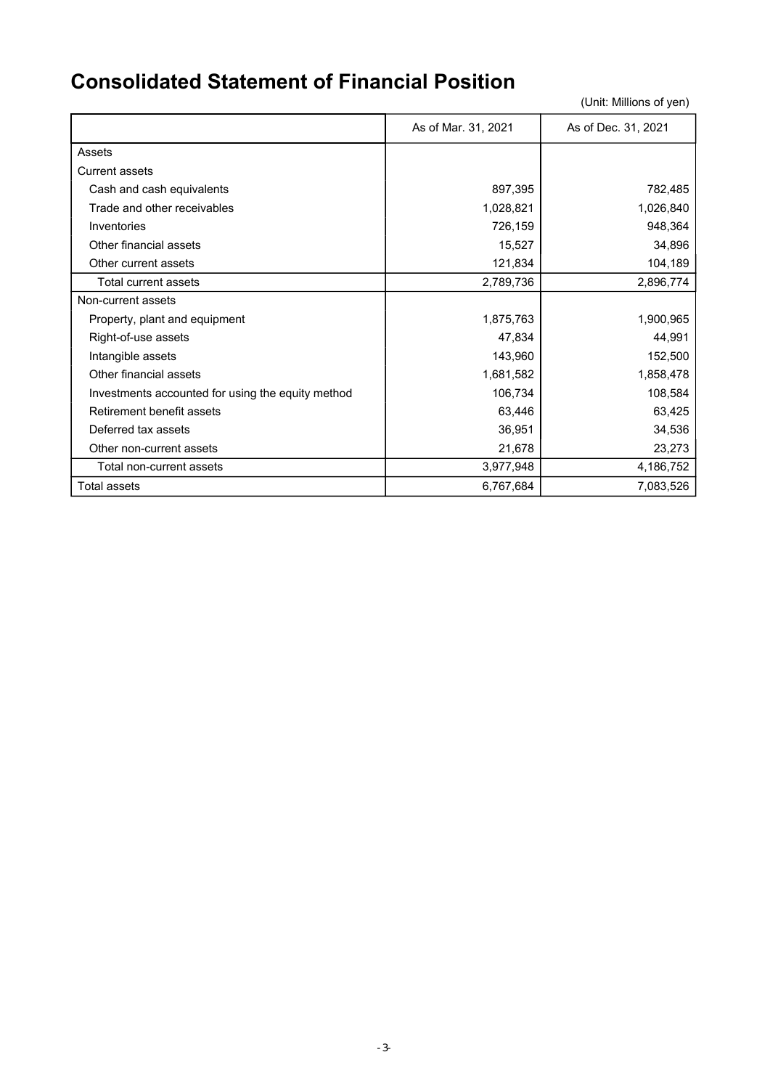### **Consolidated Statement of Financial Position**

|                                                   | As of Mar. 31, 2021 | As of Dec. 31, 2021 |
|---------------------------------------------------|---------------------|---------------------|
| Assets                                            |                     |                     |
| <b>Current assets</b>                             |                     |                     |
| Cash and cash equivalents                         | 897,395             | 782,485             |
| Trade and other receivables                       | 1,028,821           | 1,026,840           |
| Inventories                                       | 726,159             | 948,364             |
| Other financial assets                            | 15,527              | 34,896              |
| Other current assets                              | 121,834             | 104,189             |
| Total current assets                              | 2,789,736           | 2,896,774           |
| Non-current assets                                |                     |                     |
| Property, plant and equipment                     | 1,875,763           | 1,900,965           |
| Right-of-use assets                               | 47,834              | 44,991              |
| Intangible assets                                 | 143,960             | 152,500             |
| Other financial assets                            | 1,681,582           | 1,858,478           |
| Investments accounted for using the equity method | 106,734             | 108,584             |
| Retirement benefit assets                         | 63,446              | 63,425              |
| Deferred tax assets                               | 36,951              | 34,536              |
| Other non-current assets                          | 21,678              | 23,273              |
| Total non-current assets                          | 3,977,948           | 4,186,752           |
| <b>Total assets</b>                               | 6,767,684           | 7,083,526           |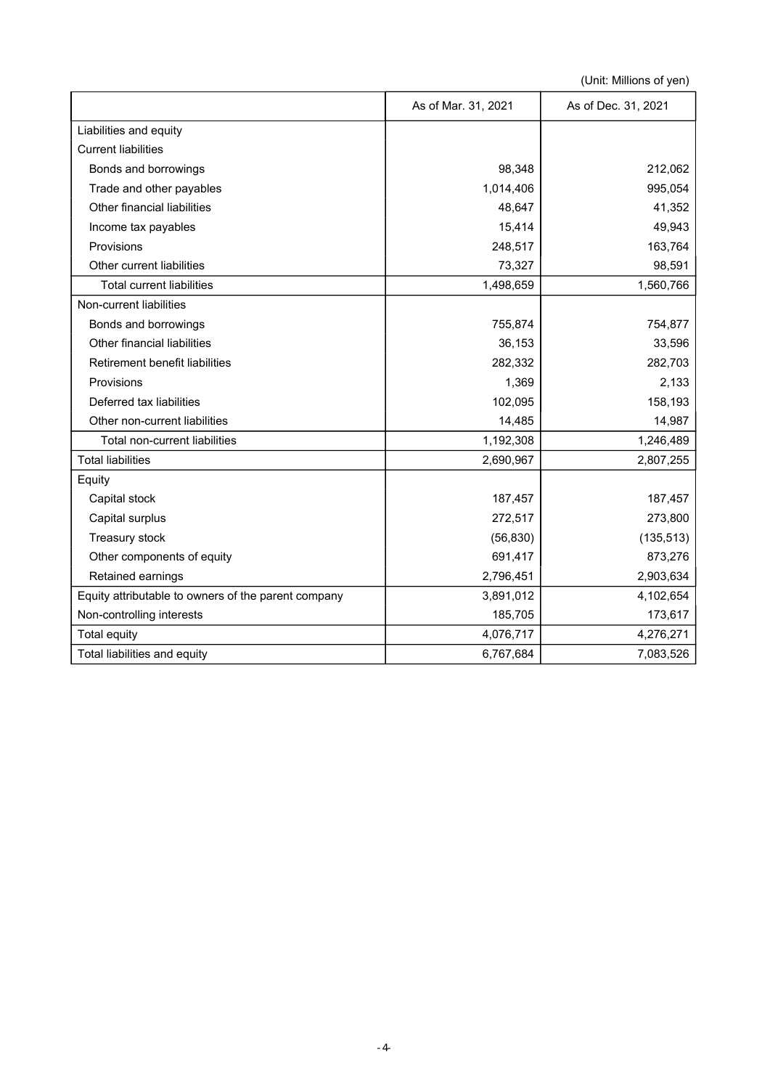|                                                     | As of Mar. 31, 2021 | As of Dec. 31, 2021 |
|-----------------------------------------------------|---------------------|---------------------|
| Liabilities and equity                              |                     |                     |
| <b>Current liabilities</b>                          |                     |                     |
| Bonds and borrowings                                | 98,348              | 212,062             |
| Trade and other payables                            | 1,014,406           | 995,054             |
| Other financial liabilities                         | 48,647              | 41,352              |
| Income tax payables                                 | 15,414              | 49,943              |
| Provisions                                          | 248,517             | 163,764             |
| Other current liabilities                           | 73,327              | 98,591              |
| <b>Total current liabilities</b>                    | 1,498,659           | 1,560,766           |
| Non-current liabilities                             |                     |                     |
| Bonds and borrowings                                | 755,874             | 754,877             |
| Other financial liabilities                         | 36,153              | 33,596              |
| Retirement benefit liabilities                      | 282,332             | 282,703             |
| Provisions                                          | 1,369               | 2,133               |
| Deferred tax liabilities                            | 102,095             | 158,193             |
| Other non-current liabilities                       | 14,485              | 14,987              |
| Total non-current liabilities                       | 1,192,308           | 1,246,489           |
| <b>Total liabilities</b>                            | 2,690,967           | 2,807,255           |
| Equity                                              |                     |                     |
| Capital stock                                       | 187,457             | 187,457             |
| Capital surplus                                     | 272,517             | 273,800             |
| Treasury stock                                      | (56, 830)           | (135, 513)          |
| Other components of equity                          | 691,417             | 873,276             |
| Retained earnings                                   | 2,796,451           | 2,903,634           |
| Equity attributable to owners of the parent company | 3,891,012           | 4,102,654           |
| Non-controlling interests                           | 185,705             | 173,617             |
| Total equity                                        | 4,076,717           | 4,276,271           |
| Total liabilities and equity                        | 6,767,684           | 7,083,526           |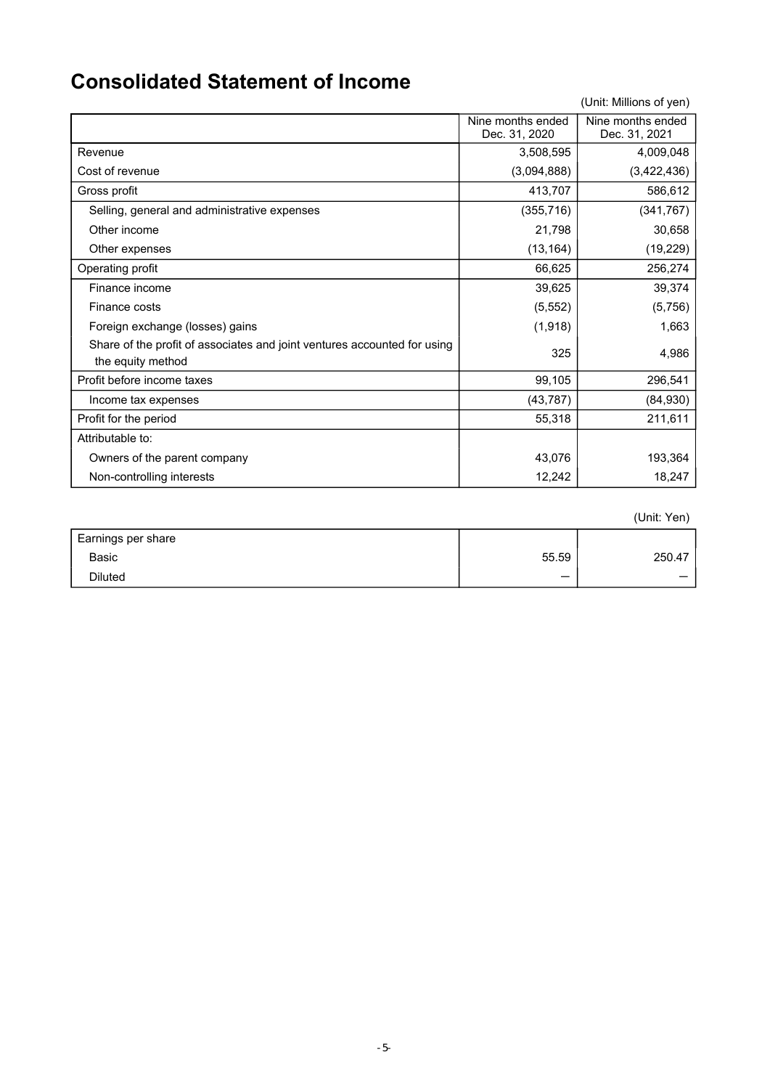### **Consolidated Statement of Income**

(Unit: Millions of yen)

|                                                                                               | Nine months ended<br>Dec. 31, 2020 | Nine months ended<br>Dec. 31, 2021 |
|-----------------------------------------------------------------------------------------------|------------------------------------|------------------------------------|
| Revenue                                                                                       | 3,508,595                          | 4,009,048                          |
| Cost of revenue                                                                               | (3,094,888)                        | (3,422,436)                        |
| Gross profit                                                                                  | 413,707                            | 586,612                            |
| Selling, general and administrative expenses                                                  | (355, 716)                         | (341, 767)                         |
| Other income                                                                                  | 21,798                             | 30,658                             |
| Other expenses                                                                                | (13, 164)                          | (19, 229)                          |
| Operating profit                                                                              | 66,625                             | 256,274                            |
| Finance income                                                                                | 39,625                             | 39,374                             |
| Finance costs                                                                                 | (5, 552)                           | (5,756)                            |
| Foreign exchange (losses) gains                                                               | (1, 918)                           | 1,663                              |
| Share of the profit of associates and joint ventures accounted for using<br>the equity method | 325                                | 4,986                              |
| Profit before income taxes                                                                    | 99,105                             | 296,541                            |
| Income tax expenses                                                                           | (43, 787)                          | (84, 930)                          |
| Profit for the period                                                                         | 55,318                             | 211,611                            |
| Attributable to:                                                                              |                                    |                                    |
| Owners of the parent company                                                                  | 43,076                             | 193,364                            |
| Non-controlling interests                                                                     | 12,242                             | 18,247                             |

(Unit: Yen)

| Earnings per share |       |        |
|--------------------|-------|--------|
| Basic              | 55.59 | 250.47 |
| <b>Diluted</b>     |       |        |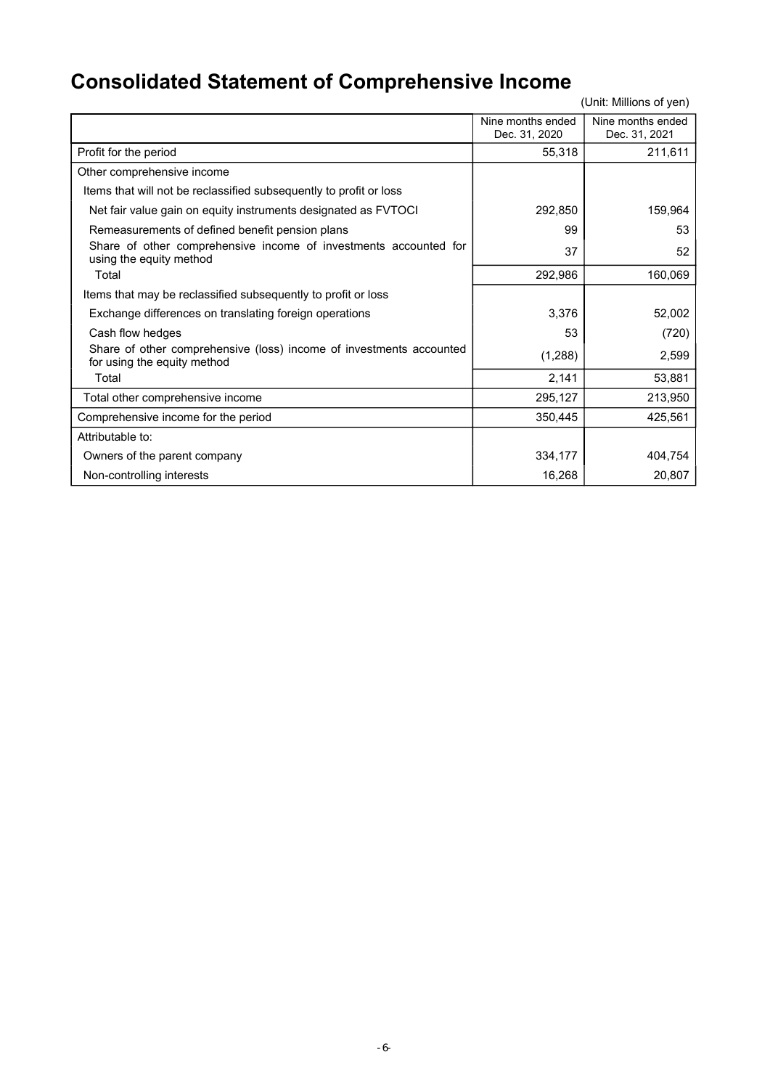# **Consolidated Statement of Comprehensive Income**

|                                                                                                    | Nine months ended<br>Dec. 31, 2020 | Nine months ended<br>Dec. 31, 2021 |
|----------------------------------------------------------------------------------------------------|------------------------------------|------------------------------------|
| Profit for the period                                                                              | 55,318                             | 211,611                            |
| Other comprehensive income                                                                         |                                    |                                    |
| Items that will not be reclassified subsequently to profit or loss                                 |                                    |                                    |
| Net fair value gain on equity instruments designated as FVTOCI                                     | 292,850                            | 159,964                            |
| Remeasurements of defined benefit pension plans                                                    | 99                                 | 53                                 |
| Share of other comprehensive income of investments accounted for<br>using the equity method        | 37                                 | 52                                 |
| Total                                                                                              | 292,986                            | 160,069                            |
| Items that may be reclassified subsequently to profit or loss                                      |                                    |                                    |
| Exchange differences on translating foreign operations                                             | 3,376                              | 52,002                             |
| Cash flow hedges                                                                                   | 53                                 | (720)                              |
| Share of other comprehensive (loss) income of investments accounted<br>for using the equity method | (1,288)                            | 2,599                              |
| Total                                                                                              | 2,141                              | 53,881                             |
| Total other comprehensive income                                                                   | 295,127                            | 213,950                            |
| Comprehensive income for the period                                                                | 350,445                            | 425,561                            |
| Attributable to:                                                                                   |                                    |                                    |
| Owners of the parent company                                                                       | 334,177                            | 404,754                            |
| Non-controlling interests                                                                          | 16,268                             | 20,807                             |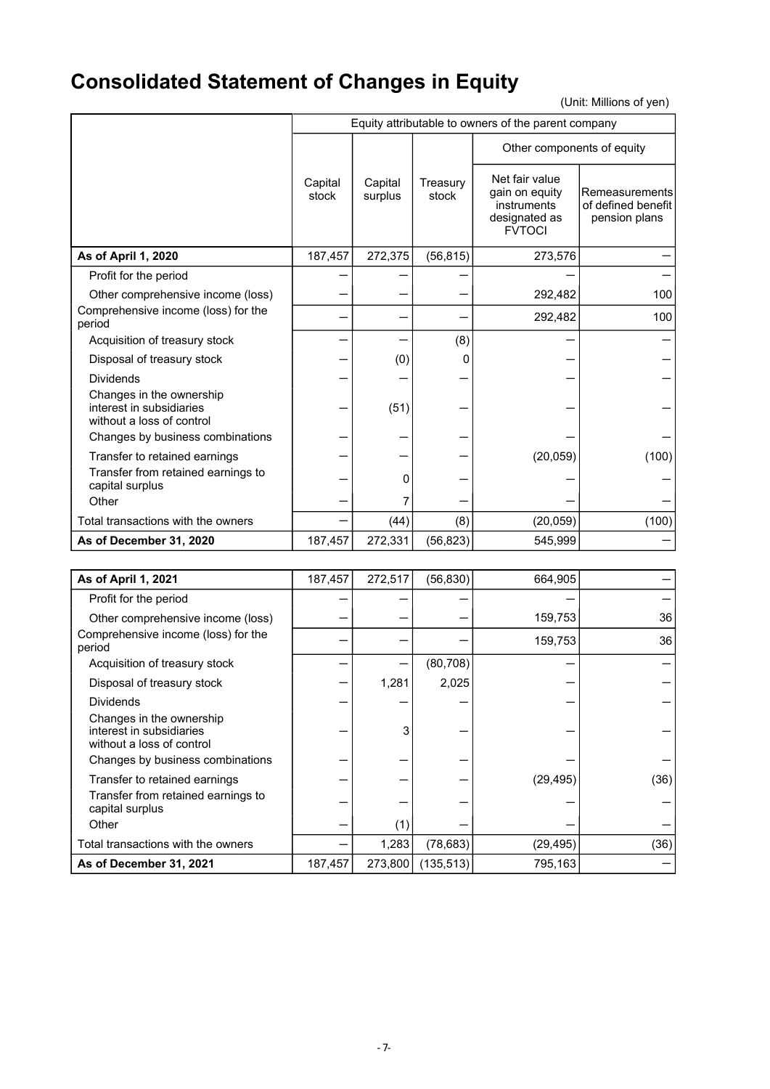# **Consolidated Statement of Changes in Equity**

|                                                                                   | Equity attributable to owners of the parent company |                    |                   |                                                                                   |                                                       |  |  |
|-----------------------------------------------------------------------------------|-----------------------------------------------------|--------------------|-------------------|-----------------------------------------------------------------------------------|-------------------------------------------------------|--|--|
|                                                                                   |                                                     |                    |                   | Other components of equity                                                        |                                                       |  |  |
|                                                                                   | Capital<br>stock                                    | Capital<br>surplus | Treasury<br>stock | Net fair value<br>gain on equity<br>instruments<br>designated as<br><b>FVTOCI</b> | Remeasurements<br>of defined benefit<br>pension plans |  |  |
| As of April 1, 2020                                                               | 187,457                                             | 272,375            | (56, 815)         | 273,576                                                                           |                                                       |  |  |
| Profit for the period                                                             |                                                     |                    |                   |                                                                                   |                                                       |  |  |
| Other comprehensive income (loss)                                                 |                                                     |                    |                   | 292,482                                                                           | 100                                                   |  |  |
| Comprehensive income (loss) for the<br>period                                     |                                                     |                    |                   | 292,482                                                                           | 100                                                   |  |  |
| Acquisition of treasury stock                                                     |                                                     |                    | (8)               |                                                                                   |                                                       |  |  |
| Disposal of treasury stock                                                        |                                                     | (0)                | 0                 |                                                                                   |                                                       |  |  |
| <b>Dividends</b>                                                                  |                                                     |                    |                   |                                                                                   |                                                       |  |  |
| Changes in the ownership<br>interest in subsidiaries<br>without a loss of control |                                                     | (51)               |                   |                                                                                   |                                                       |  |  |
| Changes by business combinations                                                  |                                                     |                    |                   |                                                                                   |                                                       |  |  |
| Transfer to retained earnings                                                     |                                                     |                    |                   | (20, 059)                                                                         | (100)                                                 |  |  |
| Transfer from retained earnings to<br>capital surplus                             |                                                     | 0                  |                   |                                                                                   |                                                       |  |  |
| Other                                                                             |                                                     |                    |                   |                                                                                   |                                                       |  |  |
| Total transactions with the owners                                                |                                                     | (44)               | (8)               | (20, 059)                                                                         | (100)                                                 |  |  |
| As of December 31, 2020                                                           | 187,457                                             | 272,331            | (56, 823)         | 545,999                                                                           |                                                       |  |  |

| As of April 1, 2021                                                               | 187,457 | 272,517 | (56, 830)  | 664,905   |      |
|-----------------------------------------------------------------------------------|---------|---------|------------|-----------|------|
| Profit for the period                                                             |         |         |            |           |      |
| Other comprehensive income (loss)                                                 |         |         |            | 159,753   | 36   |
| Comprehensive income (loss) for the<br>period                                     |         |         |            | 159,753   | 36   |
| Acquisition of treasury stock                                                     |         |         | (80, 708)  |           |      |
| Disposal of treasury stock                                                        |         | 1,281   | 2,025      |           |      |
| <b>Dividends</b>                                                                  |         |         |            |           |      |
| Changes in the ownership<br>interest in subsidiaries<br>without a loss of control |         | 3       |            |           |      |
| Changes by business combinations                                                  |         |         |            |           |      |
| Transfer to retained earnings                                                     |         |         |            | (29, 495) | (36) |
| Transfer from retained earnings to<br>capital surplus                             |         |         |            |           |      |
| Other                                                                             |         | (1)     |            |           |      |
| Total transactions with the owners                                                |         | 1,283   | (78, 683)  | (29, 495) | (36) |
| As of December 31, 2021                                                           | 187,457 | 273,800 | (135, 513) | 795,163   |      |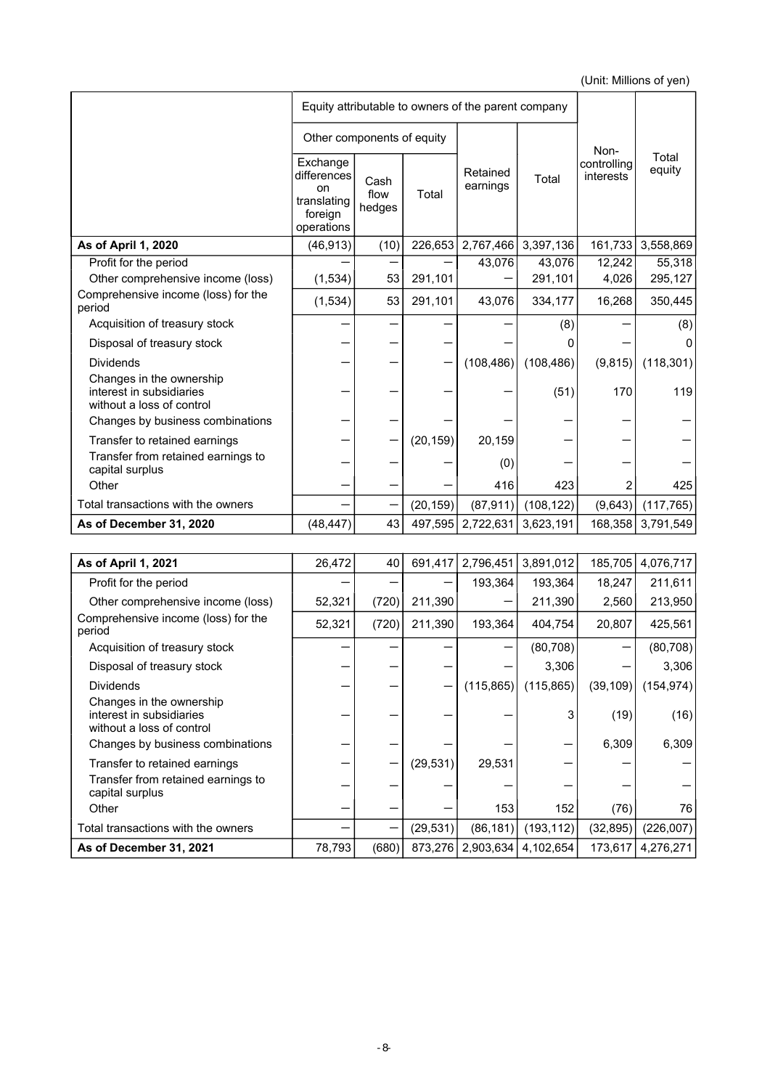|                                                                                   | Equity attributable to owners of the parent company                          |                        |           |                      |            |                          |                 |
|-----------------------------------------------------------------------------------|------------------------------------------------------------------------------|------------------------|-----------|----------------------|------------|--------------------------|-----------------|
|                                                                                   | Other components of equity                                                   |                        |           |                      |            | Non-                     |                 |
|                                                                                   | Exchange<br>differences<br><b>on</b><br>translating<br>foreign<br>operations | Cash<br>flow<br>hedges | Total     | Retained<br>earnings | Total      | controlling<br>interests | Total<br>equity |
| As of April 1, 2020                                                               | (46, 913)                                                                    | (10)                   | 226,653   | 2,767,466            | 3,397,136  | 161,733                  | 3,558,869       |
| Profit for the period                                                             |                                                                              |                        |           | 43,076               | 43,076     | 12,242                   | 55,318          |
| Other comprehensive income (loss)                                                 | (1,534)                                                                      | 53                     | 291,101   |                      | 291,101    | 4,026                    | 295,127         |
| Comprehensive income (loss) for the<br>period                                     | (1,534)                                                                      | 53                     | 291,101   | 43,076               | 334,177    | 16,268                   | 350,445         |
| Acquisition of treasury stock                                                     |                                                                              |                        |           |                      | (8)        |                          | (8)             |
| Disposal of treasury stock                                                        |                                                                              |                        |           |                      |            |                          | 0               |
| <b>Dividends</b>                                                                  |                                                                              |                        |           | (108, 486)           | (108, 486) | (9,815)                  | (118, 301)      |
| Changes in the ownership<br>interest in subsidiaries<br>without a loss of control |                                                                              |                        |           |                      | (51)       | 170                      | 119             |
| Changes by business combinations                                                  |                                                                              |                        |           |                      |            |                          |                 |
| Transfer to retained earnings                                                     |                                                                              |                        | (20, 159) | 20,159               |            |                          |                 |
| Transfer from retained earnings to<br>capital surplus                             |                                                                              |                        |           | (0)                  |            |                          |                 |
| Other                                                                             |                                                                              |                        |           | 416                  | 423        | 2                        | 425             |
| Total transactions with the owners                                                |                                                                              |                        | (20, 159) | (87, 911)            | (108, 122) | (9,643)                  | (117, 765)      |
| As of December 31, 2020                                                           | (48, 447)                                                                    | 43                     | 497,595   | 2,722,631            | 3,623,191  | 168,358                  | 3,791,549       |

| As of April 1, 2021                                                               | 26,472 | 40    | 691,417   | 2,796,451  | 3,891,012           | 185,705   | 4,076,717  |
|-----------------------------------------------------------------------------------|--------|-------|-----------|------------|---------------------|-----------|------------|
| Profit for the period                                                             |        |       |           | 193,364    | 193,364             | 18,247    | 211,611    |
| Other comprehensive income (loss)                                                 | 52,321 | (720) | 211,390   |            | 211,390             | 2,560     | 213,950    |
| Comprehensive income (loss) for the<br>period                                     | 52,321 | (720) | 211,390   | 193,364    | 404,754             | 20,807    | 425,561    |
| Acquisition of treasury stock                                                     |        |       |           |            | (80, 708)           |           | (80, 708)  |
| Disposal of treasury stock                                                        |        |       |           |            | 3,306               |           | 3,306      |
| <b>Dividends</b>                                                                  |        |       |           | (115, 865) | (115, 865)          | (39, 109) | (154, 974) |
| Changes in the ownership<br>interest in subsidiaries<br>without a loss of control |        |       |           |            |                     | (19)      | (16)       |
| Changes by business combinations                                                  |        |       |           |            |                     | 6,309     | 6,309      |
| Transfer to retained earnings                                                     |        |       | (29, 531) | 29,531     |                     |           |            |
| Transfer from retained earnings to<br>capital surplus                             |        |       |           |            |                     |           |            |
| Other                                                                             |        |       |           | 153        | 152                 | (76)      | 76         |
| Total transactions with the owners                                                |        | -     | (29, 531) | (86, 181)  | (193, 112)          | (32, 895) | (226,007)  |
| As of December 31, 2021                                                           | 78,793 | (680) | 873,276   |            | 2,903,634 4,102,654 | 173,617   | 4,276,271  |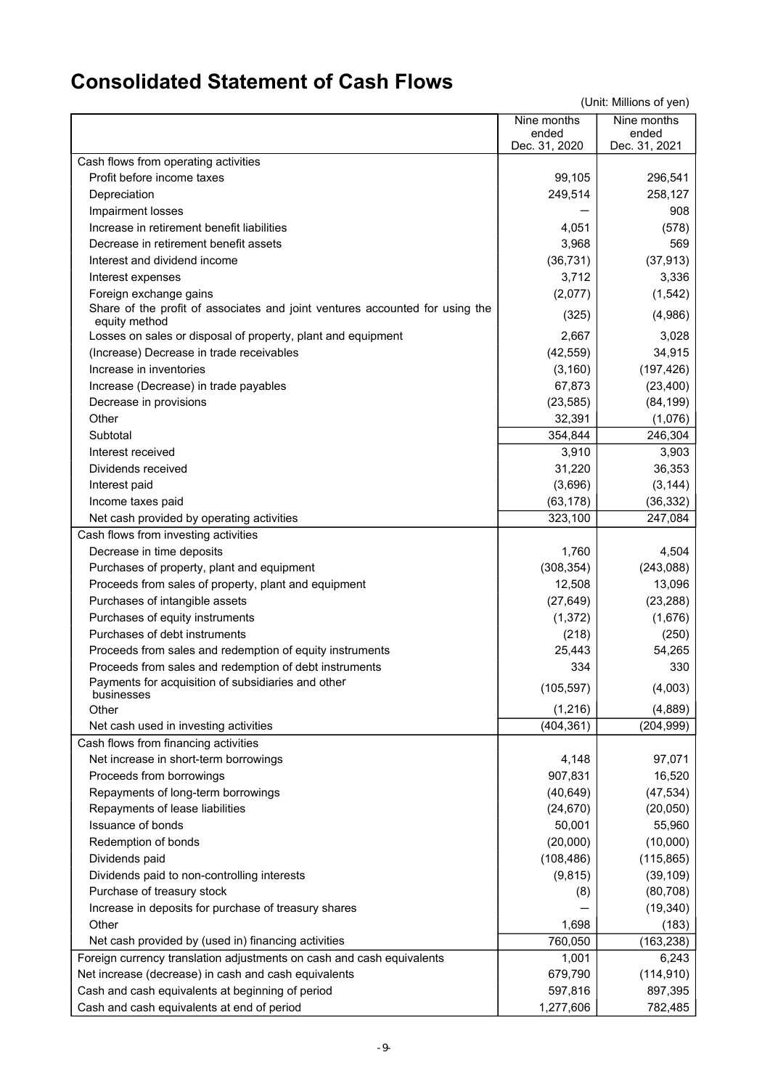## **Consolidated Statement of Cash Flows**

| ended<br>ended<br>Dec. 31, 2020<br>Dec. 31, 2021<br>Cash flows from operating activities<br>Profit before income taxes<br>99,105<br>296,541<br>249,514<br>258,127<br>Depreciation<br>908<br>Impairment losses<br>Increase in retirement benefit liabilities<br>(578)<br>4,051<br>Decrease in retirement benefit assets<br>3,968<br>569<br>Interest and dividend income<br>(36, 731)<br>(37, 913)<br>3,712<br>3,336<br>Interest expenses<br>(2,077)<br>(1, 542)<br>Foreign exchange gains<br>Share of the profit of associates and joint ventures accounted for using the<br>(4,986)<br>(325)<br>equity method<br>2,667<br>3,028<br>Losses on sales or disposal of property, plant and equipment<br>(Increase) Decrease in trade receivables<br>(42, 559)<br>34,915<br>(197, 426)<br>Increase in inventories<br>(3, 160)<br>67,873<br>(23, 400)<br>Increase (Decrease) in trade payables<br>(23, 585)<br>(84, 199)<br>Decrease in provisions |
|---------------------------------------------------------------------------------------------------------------------------------------------------------------------------------------------------------------------------------------------------------------------------------------------------------------------------------------------------------------------------------------------------------------------------------------------------------------------------------------------------------------------------------------------------------------------------------------------------------------------------------------------------------------------------------------------------------------------------------------------------------------------------------------------------------------------------------------------------------------------------------------------------------------------------------------------|
|                                                                                                                                                                                                                                                                                                                                                                                                                                                                                                                                                                                                                                                                                                                                                                                                                                                                                                                                             |
|                                                                                                                                                                                                                                                                                                                                                                                                                                                                                                                                                                                                                                                                                                                                                                                                                                                                                                                                             |
|                                                                                                                                                                                                                                                                                                                                                                                                                                                                                                                                                                                                                                                                                                                                                                                                                                                                                                                                             |
|                                                                                                                                                                                                                                                                                                                                                                                                                                                                                                                                                                                                                                                                                                                                                                                                                                                                                                                                             |
|                                                                                                                                                                                                                                                                                                                                                                                                                                                                                                                                                                                                                                                                                                                                                                                                                                                                                                                                             |
|                                                                                                                                                                                                                                                                                                                                                                                                                                                                                                                                                                                                                                                                                                                                                                                                                                                                                                                                             |
|                                                                                                                                                                                                                                                                                                                                                                                                                                                                                                                                                                                                                                                                                                                                                                                                                                                                                                                                             |
|                                                                                                                                                                                                                                                                                                                                                                                                                                                                                                                                                                                                                                                                                                                                                                                                                                                                                                                                             |
|                                                                                                                                                                                                                                                                                                                                                                                                                                                                                                                                                                                                                                                                                                                                                                                                                                                                                                                                             |
|                                                                                                                                                                                                                                                                                                                                                                                                                                                                                                                                                                                                                                                                                                                                                                                                                                                                                                                                             |
|                                                                                                                                                                                                                                                                                                                                                                                                                                                                                                                                                                                                                                                                                                                                                                                                                                                                                                                                             |
|                                                                                                                                                                                                                                                                                                                                                                                                                                                                                                                                                                                                                                                                                                                                                                                                                                                                                                                                             |
|                                                                                                                                                                                                                                                                                                                                                                                                                                                                                                                                                                                                                                                                                                                                                                                                                                                                                                                                             |
|                                                                                                                                                                                                                                                                                                                                                                                                                                                                                                                                                                                                                                                                                                                                                                                                                                                                                                                                             |
|                                                                                                                                                                                                                                                                                                                                                                                                                                                                                                                                                                                                                                                                                                                                                                                                                                                                                                                                             |
|                                                                                                                                                                                                                                                                                                                                                                                                                                                                                                                                                                                                                                                                                                                                                                                                                                                                                                                                             |
| 32,391<br>Other<br>(1,076)                                                                                                                                                                                                                                                                                                                                                                                                                                                                                                                                                                                                                                                                                                                                                                                                                                                                                                                  |
| Subtotal<br>246,304<br>354,844                                                                                                                                                                                                                                                                                                                                                                                                                                                                                                                                                                                                                                                                                                                                                                                                                                                                                                              |
| 3,910<br>3,903<br>Interest received                                                                                                                                                                                                                                                                                                                                                                                                                                                                                                                                                                                                                                                                                                                                                                                                                                                                                                         |
| Dividends received<br>36,353<br>31,220                                                                                                                                                                                                                                                                                                                                                                                                                                                                                                                                                                                                                                                                                                                                                                                                                                                                                                      |
| (3, 144)<br>Interest paid<br>(3,696)                                                                                                                                                                                                                                                                                                                                                                                                                                                                                                                                                                                                                                                                                                                                                                                                                                                                                                        |
| (63, 178)<br>(36, 332)                                                                                                                                                                                                                                                                                                                                                                                                                                                                                                                                                                                                                                                                                                                                                                                                                                                                                                                      |
| Income taxes paid<br>323,100<br>247,084                                                                                                                                                                                                                                                                                                                                                                                                                                                                                                                                                                                                                                                                                                                                                                                                                                                                                                     |
| Net cash provided by operating activities                                                                                                                                                                                                                                                                                                                                                                                                                                                                                                                                                                                                                                                                                                                                                                                                                                                                                                   |
| Cash flows from investing activities<br>4,504                                                                                                                                                                                                                                                                                                                                                                                                                                                                                                                                                                                                                                                                                                                                                                                                                                                                                               |
| Decrease in time deposits<br>1,760                                                                                                                                                                                                                                                                                                                                                                                                                                                                                                                                                                                                                                                                                                                                                                                                                                                                                                          |
| (308, 354)<br>(243,088)<br>Purchases of property, plant and equipment                                                                                                                                                                                                                                                                                                                                                                                                                                                                                                                                                                                                                                                                                                                                                                                                                                                                       |
| Proceeds from sales of property, plant and equipment<br>13,096<br>12,508                                                                                                                                                                                                                                                                                                                                                                                                                                                                                                                                                                                                                                                                                                                                                                                                                                                                    |
| Purchases of intangible assets<br>(27, 649)<br>(23, 288)                                                                                                                                                                                                                                                                                                                                                                                                                                                                                                                                                                                                                                                                                                                                                                                                                                                                                    |
| Purchases of equity instruments<br>(1, 372)<br>(1,676)                                                                                                                                                                                                                                                                                                                                                                                                                                                                                                                                                                                                                                                                                                                                                                                                                                                                                      |
| Purchases of debt instruments<br>(218)<br>(250)                                                                                                                                                                                                                                                                                                                                                                                                                                                                                                                                                                                                                                                                                                                                                                                                                                                                                             |
| 25,443<br>54,265<br>Proceeds from sales and redemption of equity instruments                                                                                                                                                                                                                                                                                                                                                                                                                                                                                                                                                                                                                                                                                                                                                                                                                                                                |
| Proceeds from sales and redemption of debt instruments<br>330<br>334                                                                                                                                                                                                                                                                                                                                                                                                                                                                                                                                                                                                                                                                                                                                                                                                                                                                        |
| Payments for acquisition of subsidiaries and other<br>(105, 597)<br>(4,003)<br>businesses                                                                                                                                                                                                                                                                                                                                                                                                                                                                                                                                                                                                                                                                                                                                                                                                                                                   |
| (1, 216)<br>(4,889)<br>Other                                                                                                                                                                                                                                                                                                                                                                                                                                                                                                                                                                                                                                                                                                                                                                                                                                                                                                                |
| (404, 361)<br>(204, 999)<br>Net cash used in investing activities                                                                                                                                                                                                                                                                                                                                                                                                                                                                                                                                                                                                                                                                                                                                                                                                                                                                           |
| Cash flows from financing activities                                                                                                                                                                                                                                                                                                                                                                                                                                                                                                                                                                                                                                                                                                                                                                                                                                                                                                        |
| 4,148<br>97,071<br>Net increase in short-term borrowings                                                                                                                                                                                                                                                                                                                                                                                                                                                                                                                                                                                                                                                                                                                                                                                                                                                                                    |
| 907,831<br>16,520<br>Proceeds from borrowings                                                                                                                                                                                                                                                                                                                                                                                                                                                                                                                                                                                                                                                                                                                                                                                                                                                                                               |
| (47, 534)<br>Repayments of long-term borrowings<br>(40, 649)                                                                                                                                                                                                                                                                                                                                                                                                                                                                                                                                                                                                                                                                                                                                                                                                                                                                                |
| Repayments of lease liabilities<br>(24, 670)<br>(20, 050)                                                                                                                                                                                                                                                                                                                                                                                                                                                                                                                                                                                                                                                                                                                                                                                                                                                                                   |
| Issuance of bonds<br>50,001<br>55,960                                                                                                                                                                                                                                                                                                                                                                                                                                                                                                                                                                                                                                                                                                                                                                                                                                                                                                       |
| Redemption of bonds<br>(20,000)<br>(10,000)                                                                                                                                                                                                                                                                                                                                                                                                                                                                                                                                                                                                                                                                                                                                                                                                                                                                                                 |
| (108, 486)<br>Dividends paid<br>(115, 865)                                                                                                                                                                                                                                                                                                                                                                                                                                                                                                                                                                                                                                                                                                                                                                                                                                                                                                  |
| Dividends paid to non-controlling interests<br>(9, 815)<br>(39, 109)                                                                                                                                                                                                                                                                                                                                                                                                                                                                                                                                                                                                                                                                                                                                                                                                                                                                        |
| Purchase of treasury stock<br>(80, 708)<br>(8)                                                                                                                                                                                                                                                                                                                                                                                                                                                                                                                                                                                                                                                                                                                                                                                                                                                                                              |
| Increase in deposits for purchase of treasury shares<br>(19, 340)                                                                                                                                                                                                                                                                                                                                                                                                                                                                                                                                                                                                                                                                                                                                                                                                                                                                           |
| 1,698<br>(183)<br>Other                                                                                                                                                                                                                                                                                                                                                                                                                                                                                                                                                                                                                                                                                                                                                                                                                                                                                                                     |
| Net cash provided by (used in) financing activities<br>760,050<br>(163, 238)                                                                                                                                                                                                                                                                                                                                                                                                                                                                                                                                                                                                                                                                                                                                                                                                                                                                |
| Foreign currency translation adjustments on cash and cash equivalents<br>6,243<br>1,001                                                                                                                                                                                                                                                                                                                                                                                                                                                                                                                                                                                                                                                                                                                                                                                                                                                     |
| Net increase (decrease) in cash and cash equivalents<br>679,790<br>(114, 910)                                                                                                                                                                                                                                                                                                                                                                                                                                                                                                                                                                                                                                                                                                                                                                                                                                                               |
| Cash and cash equivalents at beginning of period<br>597,816<br>897,395                                                                                                                                                                                                                                                                                                                                                                                                                                                                                                                                                                                                                                                                                                                                                                                                                                                                      |
| Cash and cash equivalents at end of period<br>1,277,606<br>782,485                                                                                                                                                                                                                                                                                                                                                                                                                                                                                                                                                                                                                                                                                                                                                                                                                                                                          |